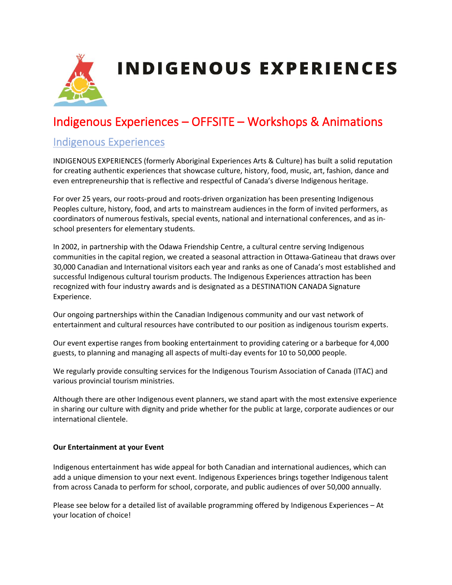

# Indigenous Experiences – OFFSITE – Workshops & Animations

#### Indigenous Experiences

INDIGENOUS EXPERIENCES (formerly Aboriginal Experiences Arts & Culture) has built a solid reputation for creating authentic experiences that showcase culture, history, food, music, art, fashion, dance and even entrepreneurship that is reflective and respectful of Canada's diverse Indigenous heritage.

For over 25 years, our roots-proud and roots-driven organization has been presenting Indigenous Peoples culture, history, food, and arts to mainstream audiences in the form of invited performers, as coordinators of numerous festivals, special events, national and international conferences, and as inschool presenters for elementary students.

In 2002, in partnership with the Odawa Friendship Centre, a cultural centre serving Indigenous communities in the capital region, we created a seasonal attraction in Ottawa-Gatineau that draws over 30,000 Canadian and International visitors each year and ranks as one of Canada's most established and successful Indigenous cultural tourism products. The Indigenous Experiences attraction has been recognized with four industry awards and is designated as a DESTINATION CANADA Signature Experience.

Our ongoing partnerships within the Canadian Indigenous community and our vast network of entertainment and cultural resources have contributed to our position as indigenous tourism experts.

Our event expertise ranges from booking entertainment to providing catering or a barbeque for 4,000 guests, to planning and managing all aspects of multi-day events for 10 to 50,000 people.

We regularly provide consulting services for the Indigenous Tourism Association of Canada (ITAC) and various provincial tourism ministries.

Although there are other Indigenous event planners, we stand apart with the most extensive experience in sharing our culture with dignity and pride whether for the public at large, corporate audiences or our international clientele.

#### **Our Entertainment at your Event**

Indigenous entertainment has wide appeal for both Canadian and international audiences, which can add a unique dimension to your next event. Indigenous Experiences brings together Indigenous talent from across Canada to perform for school, corporate, and public audiences of over 50,000 annually.

Please see below for a detailed list of available programming offered by Indigenous Experiences – At your location of choice!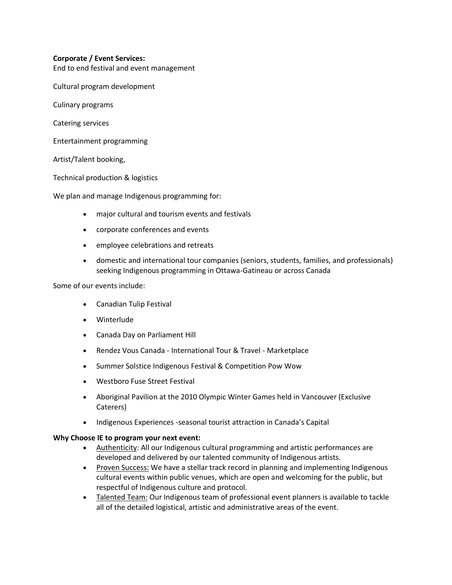#### **Corporate / Event Services:**

End to end festival and event management

Cultural program development

Culinary programs

Catering services

Entertainment programming

Artist/Talent booking,

Technical production & logistics

We plan and manage Indigenous programming for:

- major cultural and tourism events and festivals
- corporate conferences and events
- employee celebrations and retreats
- domestic and international tour companies (seniors, students, families, and professionals) seeking Indigenous programming in Ottawa-Gatineau or across Canada

Some of our events include:

- Canadian Tulip Festival
- Winterlude
- Canada Day on Parliament Hill
- Rendez Vous Canada International Tour & Travel Marketplace
- Summer Solstice Indigenous Festival & Competition Pow Wow
- Westboro Fuse Street Festival
- Aboriginal Pavilion at the 2010 Olympic Winter Games held in Vancouver (Exclusive Caterers)
- Indigenous Experiences -seasonal tourist attraction in Canada's Capital

#### **Why Choose IE to program your next event:**

- Authenticity: All our Indigenous cultural programming and artistic performances are developed and delivered by our talented community of Indigenous artists.
- Proven Success: We have a stellar track record in planning and implementing Indigenous cultural events within public venues, which are open and welcoming for the public, but respectful of Indigenous culture and protocol.
- Talented Team: Our Indigenous team of professional event planners is available to tackle all of the detailed logistical, artistic and administrative areas of the event.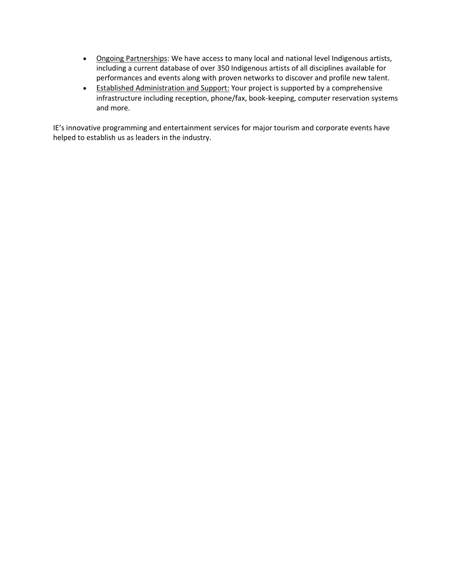- Ongoing Partnerships: We have access to many local and national level Indigenous artists, including a current database of over 350 Indigenous artists of all disciplines available for performances and events along with proven networks to discover and profile new talent.
- Established Administration and Support: Your project is supported by a comprehensive infrastructure including reception, phone/fax, book-keeping, computer reservation systems and more.

IE's innovative programming and entertainment services for major tourism and corporate events have helped to establish us as leaders in the industry.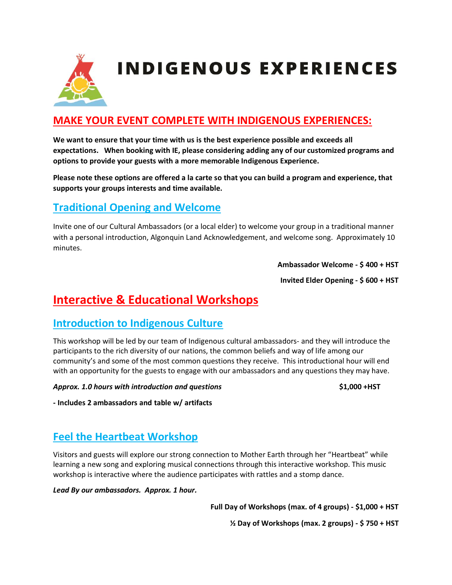

### **MAKE YOUR EVENT COMPLETE WITH INDIGENOUS EXPERIENCES:**

**We want to ensure that your time with us is the best experience possible and exceeds all expectations. When booking with IE, please considering adding any of our customized programs and options to provide your guests with a more memorable Indigenous Experience.** 

**Please note these options are offered a la carte so that you can build a program and experience, that supports your groups interests and time available.**

#### **Traditional Opening and Welcome**

Invite one of our Cultural Ambassadors (or a local elder) to welcome your group in a traditional manner with a personal introduction, Algonquin Land Acknowledgement, and welcome song. Approximately 10 minutes.

**Ambassador Welcome - \$ 400 + HST** 

**Invited Elder Opening - \$ 600 + HST** 

## **Interactive & Educational Workshops**

#### **Introduction to Indigenous Culture**

This workshop will be led by our team of Indigenous cultural ambassadors- and they will introduce the participants to the rich diversity of our nations, the common beliefs and way of life among our community's and some of the most common questions they receive. This introductional hour will end with an opportunity for the guests to engage with our ambassadors and any questions they may have.

*Approx. 1.0 hours with introduction and questions* **\$1,000 +HST** 

**- Includes 2 ambassadors and table w/ artifacts** 

#### **Feel the Heartbeat Workshop**

Visitors and guests will explore our strong connection to Mother Earth through her "Heartbeat" while learning a new song and exploring musical connections through this interactive workshop. This music workshop is interactive where the audience participates with rattles and a stomp dance.

*Lead By our ambassadors. Approx. 1 hour.* 

**Full Day of Workshops (max. of 4 groups) - \$1,000 + HST** 

**½ Day of Workshops (max. 2 groups) - \$ 750 + HST**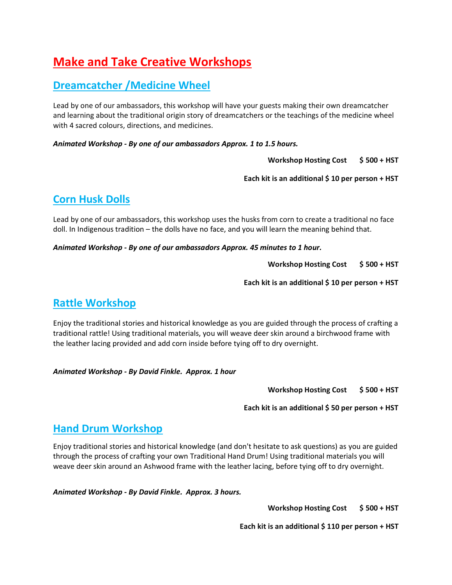## **Make and Take Creative Workshops**

#### **Dreamcatcher /Medicine Wheel**

Lead by one of our ambassadors, this workshop will have your guests making their own dreamcatcher and learning about the traditional origin story of dreamcatchers or the teachings of the medicine wheel with 4 sacred colours, directions, and medicines.

*Animated Workshop - By one of our ambassadors Approx. 1 to 1.5 hours.* 

**Workshop Hosting Cost \$ 500 + HST** 

**Each kit is an additional \$ 10 per person + HST** 

#### **Corn Husk Dolls**

Lead by one of our ambassadors, this workshop uses the husks from corn to create a traditional no face doll. In Indigenous tradition – the dolls have no face, and you will learn the meaning behind that.

*Animated Workshop - By one of our ambassadors Approx. 45 minutes to 1 hour.* 

**Workshop Hosting Cost \$ 500 + HST** 

**Each kit is an additional \$ 10 per person + HST** 

#### **Rattle Workshop**

Enjoy the traditional stories and historical knowledge as you are guided through the process of crafting a traditional rattle! Using traditional materials, you will weave deer skin around a birchwood frame with the leather lacing provided and add corn inside before tying off to dry overnight.

*Animated Workshop - By David Finkle. Approx. 1 hour* 

**Workshop Hosting Cost \$ 500 + HST** 

**Each kit is an additional \$ 50 per person + HST** 

#### **Hand Drum Workshop**

Enjoy traditional stories and historical knowledge (and don't hesitate to ask questions) as you are guided through the process of crafting your own Traditional Hand Drum! Using traditional materials you will weave deer skin around an Ashwood frame with the leather lacing, before tying off to dry overnight.

#### *Animated Workshop - By David Finkle. Approx. 3 hours.*

**Workshop Hosting Cost \$ 500 + HST** 

**Each kit is an additional \$ 110 per person + HST**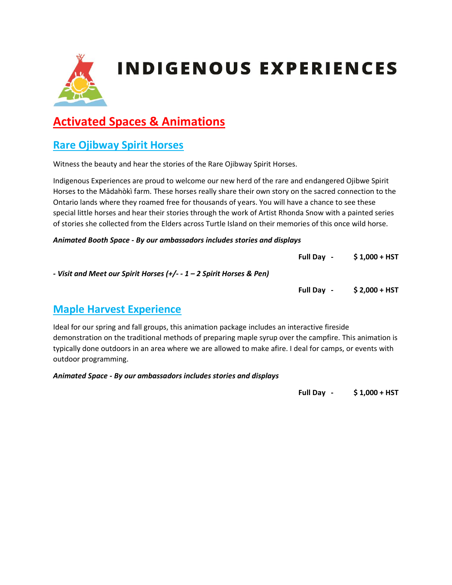

## **Activated Spaces & Animations**

#### **Rare Ojibway Spirit Horses**

Witness the beauty and hear the stories of the Rare Ojibway Spirit Horses.

Indigenous Experiences are proud to welcome our new herd of the rare and endangered Ojibwe Spirit Horses to the Mādahòkì farm. These horses really share their own story on the sacred connection to the Ontario lands where they roamed free for thousands of years. You will have a chance to see these special little horses and hear their stories through the work of Artist Rhonda Snow with a painted series of stories she collected from the Elders across Turtle Island on their memories of this once wild horse.

#### *Animated Booth Space - By our ambassadors includes stories and displays*

|                                                                      | <b>Full Dav -</b> | $$1,000 + HST$ |
|----------------------------------------------------------------------|-------------------|----------------|
| - Visit and Meet our Spirit Horses (+/- - 1 – 2 Spirit Horses & Pen) |                   |                |
|                                                                      | <b>Full Dav</b> - | \$ 2,000 + HST |

#### **Maple Harvest Experience**

Ideal for our spring and fall groups, this animation package includes an interactive fireside demonstration on the traditional methods of preparing maple syrup over the campfire. This animation is typically done outdoors in an area where we are allowed to make afire. I deal for camps, or events with outdoor programming.

*Animated Space - By our ambassadors includes stories and displays* 

**Full Day - \$ 1,000 + HST**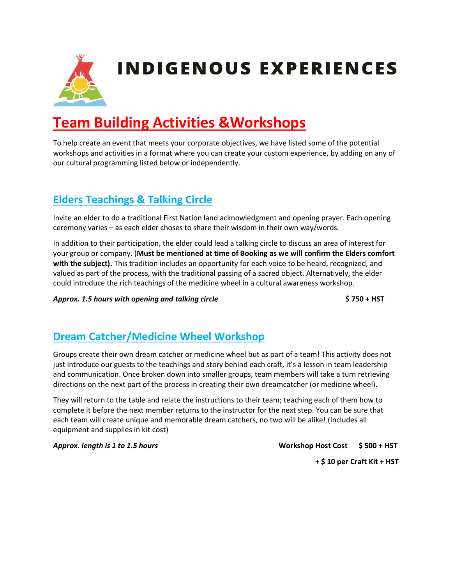

# **Team Building Activities &Workshops**

To help create an event that meets your corporate objectives, we have listed some of the potential workshops and activities in a format where you can create your custom experience, by adding on any of our cultural programming listed below or independently.

## **Elders Teachings & Talking Circle**

Invite an elder to do a traditional First Nation land acknowledgment and opening prayer. Each opening ceremony varies – as each elder choses to share their wisdom in their own way/words.

In addition to their participation, the elder could lead a talking circle to discuss an area of interest for your group or company. (**Must be mentioned at time of Booking as we will confirm the Elders comfort with the subject).** This tradition includes an opportunity for each voice to be heard, recognized, and valued as part of the process, with the traditional passing of a sacred object. Alternatively, the elder could introduce the rich teachings of the medicine wheel in a cultural awareness workshop.

*Approx. 1.5 hours with opening and talking circle* **\$ 750 + HST**

## **Dream Catcher/Medicine Wheel Workshop**

Groups create their own dream catcher or medicine wheel but as part of a team! This activity does not just introduce our guests to the teachings and story behind each craft, it's a lesson in team leadership and communication. Once broken down into smaller groups, team members will take a turn retrieving directions on the next part of the process in creating their own dreamcatcher (or medicine wheel).

They will return to the table and relate the instructions to their team; teaching each of them how to complete it before the next member returns to the instructor for the next step. You can be sure that each team will create unique and memorable dream catchers, no two will be alike! (Includes all equipment and supplies in kit cost)

*Approx. length is 1 to 1.5 hours* **Workshop Host Cost \$ 500 + HST**

**+ \$ 10 per Craft Kit + HST**